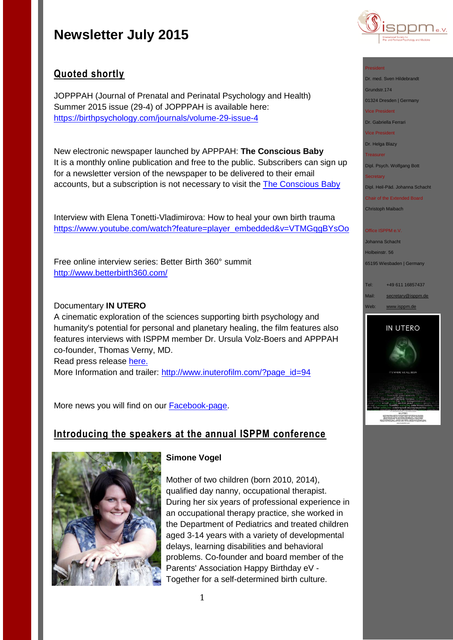

## **Quoted shortly**

JOPPPAH (Journal of Prenatal and Perinatal Psychology and Health) Summer 2015 issue (29-4) of JOPPPAH is available here: <https://birthpsychology.com/journals/volume-29-issue-4>

New electronic newspaper launched by APPPAH: **The Conscious Baby** It is a monthly online publication and free to the public. Subscribers can sign up for a newsletter version of the newspaper to be delivered to their email accounts, but a subscription is not necessary to visit the **The [Conscious Baby](http://theconsciousbaby.com/)** 

Interview with Elena Tonetti-Vladimirova: How to heal your own birth trauma [https://www.youtube.com/watch?feature=player\\_embedded&v=VTMGqgBYsOo](https://www.youtube.com/watch?feature=player_embedded&v=VTMGqgBYsOo)

Free online interview series: Better Birth 360° summit <http://www.betterbirth360.com/>

## Documentary **IN UTERO**

A cinematic exploration of the sciences supporting birth psychology and humanity's potential for personal and planetary healing, the film features also features interviews with ISPPM member Dr. Ursula Volz-Boers and APPPAH co-founder, Thomas Verny, MD.

Read press release [here.](https://birthpsychology.com/press-room/apppah-presents-world-premier-utero)

More Information and trailer: [http://www.inuterofilm.com/?page\\_id=94](http://www.inuterofilm.com/?page_id=94)

More news you will find on our [Facebook-page.](https://www.facebook.com/pages/ISPPM-eV/124066644364106)

## **Introducing the speakers at the annual ISPPM conference**



## **Simone Vogel**

Mother of two children (born 2010, 2014), qualified day nanny, occupational therapist. During her six years of professional experience in an occupational therapy practice, she worked in the Department of Pediatrics and treated children aged 3-14 years with a variety of developmental delays, learning disabilities and behavioral problems. Co-founder and board member of the Parents' Association Happy Birthday eV - Together for a self-determined birth culture.

Dr. med. Sven Hildebrandt

Grundstr.174

01324 Dresden | Germany

Vice President

Dr. Gabriella Ferrari

Vice President

Dr. Helga Blazy

Treasurer

Dipl. Psych. Wolfgang Bott

**Secretary** 

Dipl. Heil-Päd. Johanna Schacht

Chair of the Extended Board Christoph Maibach

#### Office ISPPM e.V

Johanna Schacht Holbeinstr. 56 65195 Wiesbaden | Germany

Tel: +49 611 16857437 Mail: [secretary@isppm.de](mailto:secretary@isppm.de) Web: [www.isppm.de](http://www.isppm.de/)

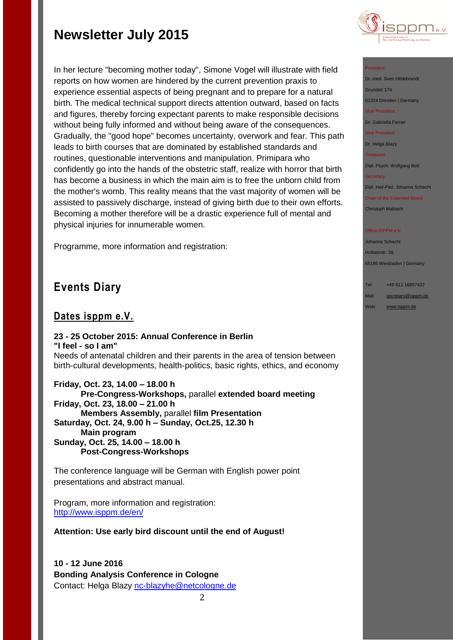In her lecture "becoming mother today", Simone Vogel will illustrate with field reports on how women are hindered by the current prevention praxis to experience essential aspects of being pregnant and to prepare for a natural birth. The medical technical support directs attention outward, based on facts and figures, thereby forcing expectant parents to make responsible decisions without being fully informed and without being aware of the consequences. Gradually, the "good hope" becomes uncertainty, overwork and fear. This path leads to birth courses that are dominated by established standards and routines, questionable interventions and manipulation. Primipara who confidently go into the hands of the obstetric staff, realize with horror that birth has become a business in which the main aim is to free the unborn child from the mother's womb. This reality means that the vast majority of women will be assisted to passively discharge, instead of giving birth due to their own efforts. Becoming a mother therefore will be a drastic experience full of mental and physical injuries for innumerable women.

Programme, more information and registration:

## **Events Diary**

## **Dates isppm e.V.**

## **23 - 25 October 2015: Annual Conference in Berlin "I feel - so I am"**

Needs of antenatal children and their parents in the area of tension between birth-cultural developments, health-politics, basic rights, ethics, and economy

**Friday, Oct. 23, 14.00 – 18.00 h Pre-Congress-Workshops,** parallel **extended board meeting Friday, Oct. 23, 18.00 – 21.00 h Members Assembly,** parallel **film Presentation Saturday, Oct. 24, 9.00 h – Sunday, Oct.25, 12.30 h Main program Sunday, Oct. 25, 14.00 – 18.00 h Post-Congress-Workshops**

The conference language will be German with English power point presentations and abstract manual.

Program, more information and registration: <http://www.isppm.de/en/>

**Attention: Use early bird discount until the end of August!**

**10 - 12 June 2016 Bonding Analysis Conference in Cologne** Contact: Helga Blazy [nc-blazyhe@netcologne.de](mailto:nc-blazyhe@netcologne.de)



### President

Dr. med. Sven Hildebrandt Grundstr.174 01324 Dresden | Germany Vice President Dr. Gabriella Ferrari Vice President

Dr. Helga Blazy

Treasurer

Dipl. Psych. Wolfgang Bott

#### **Secretary**

Dipl. Heil-Päd. Johanna Schacht

Chair of the Extended Board Christoph Maibach

#### Office ISPPM e.V

Johanna Schacht Holbeinstr. 56 65195 Wiesbaden | Germany

Tel: +49 611 16857437

Mail: [secretary@isppm.de](mailto:secretary@isppm.de)

Web: [www.isppm.de](http://www.isppm.de/)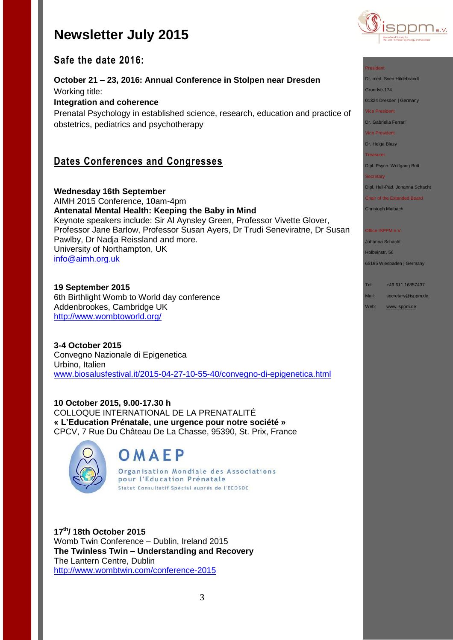

## **Safe the date 2016:**

**October 21 – 23, 2016: Annual Conference in Stolpen near Dresden** Working title: **Integration and coherence**

Prenatal Psychology in established science, research, education and practice of obstetrics, pediatrics and psychotherapy

## **Dates Conferences and Congresses**

**Wednesday 16th September** AIMH 2015 Conference, 10am-4pm **Antenatal Mental Health: Keeping the Baby in Mind** Keynote speakers include: Sir Al Aynsley Green, Professor Vivette Glover, Professor Jane Barlow, Professor Susan Ayers, Dr Trudi Seneviratne, Dr Susan Pawlby, Dr Nadja Reissland and more. University of Northampton, UK [info@aimh.org.uk](mailto:info@aimh.org.uk)

**19 September 2015** 6th Birthlight Womb to World day conference Addenbrookes, Cambridge UK <http://www.wombtoworld.org/>

**3-4 October 2015** Convegno Nazionale di Epigenetica Urbino, Italien [www.biosalusfestival.it/2015-04-27-10-55-40/convegno-di-epigenetica.html](http://www.biosalusfestival.it/2015-04-27-10-55-40/convegno-di-epigenetica.html)

**10 October 2015, 9.00-17.30 h** COLLOQUE INTERNATIONAL DE LA PRENATALITÉ **« L'Education Prénatale, une urgence pour notre société »** CPCV, 7 Rue Du Château De La Chasse, 95390, St. Prix, France



# OMAEP

Organisation Mondiale des Associations pour l'Education Prénatale Statut Consultatif Spécial auprès de l'ECOSOC

**17th/ 18th October 2015** Womb Twin Conference – Dublin, Ireland 2015 **The Twinless Twin – Understanding and Recovery**  The Lantern Centre, Dublin [http://www.wombtwin.com/conference-2015](http://www.wombtwin.com/conference-2015/4588428837?utm_source=Womb+Twin+newsletter&utm_campaign=f7c2af81ac-Newsletter+May+2015+2015&utm_medium=email&utm_term=0_189851c605-f7c2af81ac-421063393)

### President

Dr. med. Sven Hildebrandt

Grundstr.174

01324 Dresden | Germany

Vice President

Dr. Gabriella Ferrari

Vice President

Dr. Helga Blazy

Treasurer

Dipl. Psych. Wolfgang Bott **Secretary** 

Dipl. Heil-Päd. Johanna Schacht

Chair of the Extended Board

Christoph Maibach

### Office ISPPM e.V

Johanna Schacht Holbeinstr. 56

65195 Wiesbaden | Germany

Tel: +49 611 16857437

Mail: [secretary@isppm.de](mailto:secretary@isppm.de)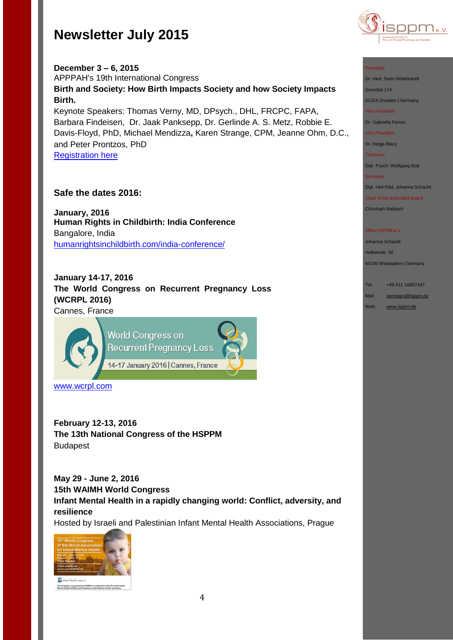

**December 3 – 6, 2015** APPPAH's 19th International Congress **Birth and Society: How Birth Impacts Society and how Society Impacts Birth.** Keynote Speakers: Thomas Verny, MD, DPsych., DHL, FRCPC, FAPA, Barbara Findeisen, Dr. Jaak Panksepp, Dr. Gerlinde A. S. Metz, Robbie E. Davis-Floyd, PhD, Michael Mendizza**,** Karen Strange, CPM, Jeanne Ohm, D.C.,

and Peter Prontzos, PhD [Registration here](http://r20.rs6.net/tn.jsp?f=001ow1wkvozei_88VPX53sV2VFa_ZuxEIVEKa01uLsN1mbdQzyyQdhs_FXedW1fhcbR0cAnBWKAa58XC3PwfiugTa1u-MPUS6Vonsz2fJNfQoB35pjIsF_7lD1CN_qw8TKu7v5JAd5plpwt_sJH1Yde9EazKKjwqyMJ21kbRBK73s3eVNH4L1EyhKr9FAjjkUSl1fgyAKzNeZsbRxoBWUe7j8en6Y0oQ_VI&c=LWshyrIfwgT0SZxQf9pomHGUyyn_Wvxtp2RWpyiRrhc-6I_2N51Iww==&ch=fzqAY8gzqrfAbvVlvh6O_uf6Y0uhLqpZVtR_fAmpQsLRiSXUV-TJkQ==)

## **Safe the dates 2016:**

**January, 2016 Human Rights in Childbirth: India Conference** Bangalore, India [humanrightsinchildbirth.com/india-conference/](http://humanrightsinchildbirth.com/india-conference/)

**January 14-17, 2016 The World Congress on Recurrent Pregnancy Loss (WCRPL 2016)** Cannes, France



[www.wcrpl.com](http://www.wcrpl.com/)

**February 12-13, 2016 The 13th National Congress of the HSPPM**  Budapest

**May 29 - June 2, 2016 15th WAIMH World Congress Infant Mental Health in a rapidly changing world: Conflict, adversity, and resilience**

Hosted by Israeli and Palestinian Infant Mental Health Associations, Prague



The Congress is organized by WAIMH in cooperation will<br>Mental Health Affiliate and Palestinian Infant Mental He



Dr. med. Sven Hildebrandt

Grundstr.174

01324 Dresden | Germany

Vice President

Dr. Gabriella Ferrari

Vice President

Dr. Helga Blazy

**Treasurer** 

Dipl. Psych. Wolfgang Bott

**Secretary** 

Dipl. Heil-Päd. Johanna Schacht

Chair of the Extended Board

Christoph Maibach

#### Office ISPPM e.V

Johanna Schacht Holbeinstr. 56

65195 Wiesbaden | Germany

Tel: +49 611 16857437

Mail: [secretary@isppm.de](mailto:secretary@isppm.de)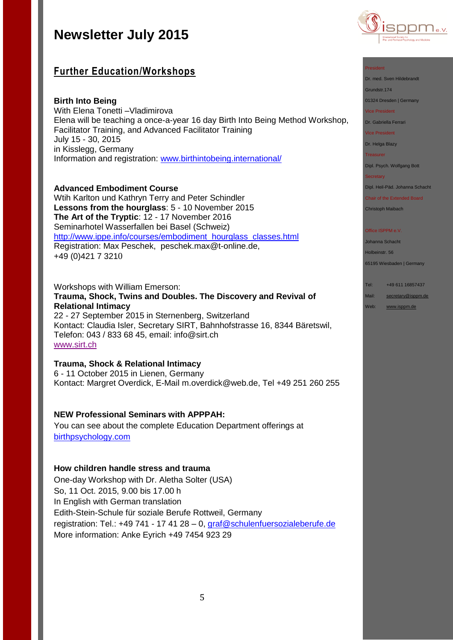## **Further Education/Workshops**

## **Birth Into Being**

With Elena Tonetti –Vladimirova Elena will be teaching a once-a-year 16 day Birth Into Being Method Workshop, Facilitator Training, and Advanced Facilitator Training July 15 - 30, 2015 in Kisslegg, Germany Information and registration: [www.birthintobeing.international/](http://www.birthintobeing.international/)

### **Advanced Embodiment Course**

Wtih Karlton und Kathryn Terry and Peter Schindler **Lessons from the hourglass**: 5 - 10 November 2015 **The Art of the Tryptic**: 12 - 17 November 2016 Seminarhotel Wasserfallen bei Basel (Schweiz) http://www.ippe.info/courses/embodiment\_hourglass\_classes.html Registration: Max Peschek, [peschek.max@t-online.de,](mailto:peschek.max@t-online.de) +49 (0)421 7 3210

## Workshops with William Emerson: **Trauma, Shock, Twins and Doubles. The Discovery and Revival of Relational Intimacy**

22 - 27 September 2015 in Sternenberg, Switzerland Kontact: Claudia Isler, Secretary SIRT, Bahnhofstrasse 16, 8344 Bäretswil, Telefon: 043 / 833 68 45, email: [info@sirt.ch](mailto:info@sirt.ch) [www.sirt.ch](http://www.sirt.ch/)

## **Trauma, Shock & Relational Intimacy**

6 - 11 October 2015 in Lienen, Germany Kontact: Margret Overdick, E-Mail [m.overdick@web.de,](mailto:m.overdick@web.de) Tel +49 251 260 255

## **NEW Professional Seminars with APPPAH:**

You can see about the complete Education Department offerings at [birthpsychology.com](http://birthpsychology.com/)

### **How children handle stress and trauma**

One-day Workshop with Dr. Aletha Solter (USA) So, 11 Oct. 2015, 9.00 bis 17.00 h In English with German translation Edith-Stein-Schule für soziale Berufe Rottweil, Germany registration: Tel.: +49 741 - 17 41 28 – 0, [graf@schulenfuersozialeberufe.de](mailto:graf@schulenfuersozialeberufe.de) More information: Anke Eyrich +49 7454 923 29



### President

Dr. med. Sven Hildebrandt

Grundstr.174

01324 Dresden | Germany

Vice President

Dr. Gabriella Ferrari

Vice President

Dr. Helga Blazy

**Treasurer** 

Dipl. Psych. Wolfgang Bott

**Secretary** 

Dipl. Heil-Päd. Johanna Schacht

Chair of the Extended Board Christoph Maibach

#### Office ISPPM e.V

Johanna Schacht Holbeinstr. 56

65195 Wiesbaden | Germany

Tel: +49 611 16857437

Mail: [secretary@isppm.de](mailto:secretary@isppm.de)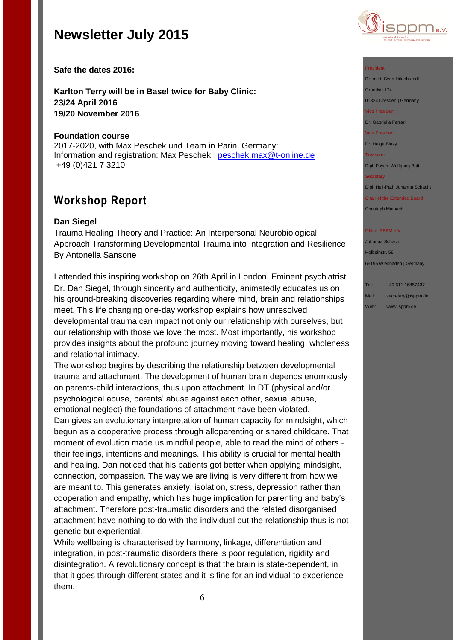

**Safe the dates 2016:**

**Karlton Terry will be in Basel twice for Baby Clinic: 23/24 April 2016 19/20 November 2016**

### **Foundation course**

2017-2020, with Max Peschek und Team in Parin, Germany: Information and registration: Max Peschek, [peschek.max@t-online.de](mailto:peschek.max@t-online.de) +49 (0)421 7 3210

## **Workshop Report**

### **Dan Siegel**

Trauma Healing Theory and Practice: An Interpersonal Neurobiological Approach Transforming Developmental Trauma into Integration and Resilience By Antonella Sansone

I attended this inspiring workshop on 26th April in London. Eminent psychiatrist Dr. Dan Siegel, through sincerity and authenticity, animatedly educates us on his ground-breaking discoveries regarding where mind, brain and relationships meet. This life changing one-day workshop explains how unresolved developmental trauma can impact not only our relationship with ourselves, but our relationship with those we love the most. Most importantly, his workshop provides insights about the profound journey moving toward healing, wholeness and relational intimacy.

The workshop begins by describing the relationship between developmental trauma and attachment. The development of human brain depends enormously on parents-child interactions, thus upon attachment. In DT (physical and/or psychological abuse, parents' abuse against each other, sexual abuse, emotional neglect) the foundations of attachment have been violated.

Dan gives an evolutionary interpretation of human capacity for mindsight, which begun as a cooperative process through alloparenting or shared childcare. That moment of evolution made us mindful people, able to read the mind of others their feelings, intentions and meanings. This ability is crucial for mental health and healing. Dan noticed that his patients got better when applying mindsight, connection, compassion. The way we are living is very different from how we are meant to. This generates anxiety, isolation, stress, depression rather than cooperation and empathy, which has huge implication for parenting and baby's attachment. Therefore post-traumatic disorders and the related disorganised attachment have nothing to do with the individual but the relationship thus is not genetic but experiential.

While wellbeing is characterised by harmony, linkage, differentiation and integration, in post-traumatic disorders there is poor regulation, rigidity and disintegration. A revolutionary concept is that the brain is state-dependent, in that it goes through different states and it is fine for an individual to experience them.

#### President

Dr. med. Sven Hildebrandt

Grundstr.174

01324 Dresden | Germany

Vice President

Dr. Gabriella Ferrari

Vice President

Dr. Helga Blazy

Treasurer

Dipl. Psych. Wolfgang Bott

#### **Secretary**

Dipl. Heil-Päd. Johanna Schacht

Chair of the Extended Board Christoph Maibach

#### Office ISPPM e.V

Johanna Schacht Holbeinstr. 56 65195 Wiesbaden | Germany

### Tel: +49 611 16857437

Mail: [secretary@isppm.de](mailto:secretary@isppm.de)

Web: [www.isppm.de](http://www.isppm.de/)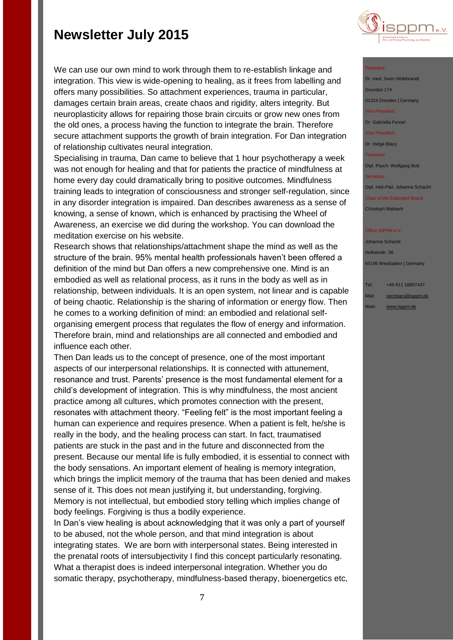

President

Dr. med. Sven Hildebrandt Grundstr.174 01324 Dresden | Germany Vice President

Dr. Gabriella Ferrari

Vice President

Dr. Helga Blazy

**Treasurer** 

Dipl. Psych. Wolfgang Bott

**Secretary** 

Dipl. Heil-Päd. Johanna Schacht

Chair of the Extended Board Christoph Maibach

Office ISPPM e.V

Johanna Schacht Holbeinstr. 56 65195 Wiesbaden | Germany

Tel: +49 611 16857437 Mail: [secretary@isppm.de](mailto:secretary@isppm.de) Web: [www.isppm.de](http://www.isppm.de/)

We can use our own mind to work through them to re-establish linkage and integration. This view is wide-opening to healing, as it frees from labelling and offers many possibilities. So attachment experiences, trauma in particular, damages certain brain areas, create chaos and rigidity, alters integrity. But neuroplasticity allows for repairing those brain circuits or grow new ones from the old ones, a process having the function to integrate the brain. Therefore secure attachment supports the growth of brain integration. For Dan integration of relationship cultivates neural integration.

Specialising in trauma, Dan came to believe that 1 hour psychotherapy a week was not enough for healing and that for patients the practice of mindfulness at home every day could dramatically bring to positive outcomes. Mindfulness training leads to integration of consciousness and stronger self-regulation, since in any disorder integration is impaired. Dan describes awareness as a sense of knowing, a sense of known, which is enhanced by practising the Wheel of Awareness, an exercise we did during the workshop. You can download the meditation exercise on his website.

Research shows that relationships/attachment shape the mind as well as the structure of the brain. 95% mental health professionals haven't been offered a definition of the mind but Dan offers a new comprehensive one. Mind is an embodied as well as relational process, as it runs in the body as well as in relationship, between individuals. It is an open system, not linear and is capable of being chaotic. Relationship is the sharing of information or energy flow. Then he comes to a working definition of mind: an embodied and relational selforganising emergent process that regulates the flow of energy and information. Therefore brain, mind and relationships are all connected and embodied and influence each other.

Then Dan leads us to the concept of presence, one of the most important aspects of our interpersonal relationships. It is connected with attunement, resonance and trust. Parents' presence is the most fundamental element for a child's development of integration. This is why mindfulness, the most ancient practice among all cultures, which promotes connection with the present, resonates with attachment theory. "Feeling felt" is the most important feeling a human can experience and requires presence. When a patient is felt, he/she is really in the body, and the healing process can start. In fact, traumatised patients are stuck in the past and in the future and disconnected from the present. Because our mental life is fully embodied, it is essential to connect with the body sensations. An important element of healing is memory integration, which brings the implicit memory of the trauma that has been denied and makes sense of it. This does not mean justifying it, but understanding, forgiving. Memory is not intellectual, but embodied story telling which implies change of body feelings. Forgiving is thus a bodily experience.

In Dan's view healing is about acknowledging that it was only a part of yourself to be abused, not the whole person, and that mind integration is about integrating states. We are born with interpersonal states. Being interested in the prenatal roots of intersubjectivity I find this concept particularly resonating. What a therapist does is indeed interpersonal integration. Whether you do somatic therapy, psychotherapy, mindfulness-based therapy, bioenergetics etc,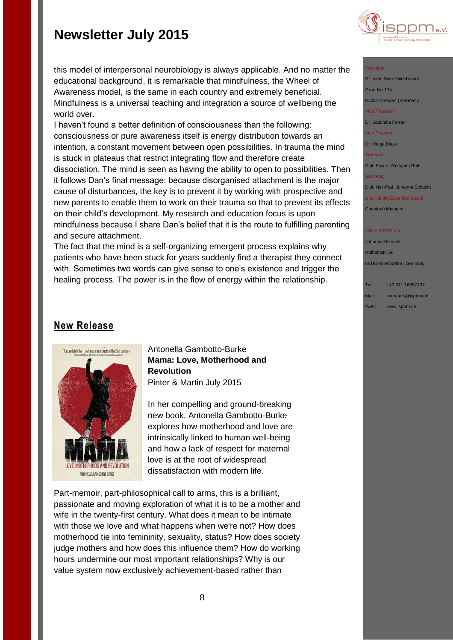

#### President

Dr. med. Sven Hildebrandt Grundstr.174 01324 Dresden | Germany Vice President Dr. Gabriella Ferrari

Vice President

Dr. Helga Blazy Treasurer

Dipl. Psych. Wolfgang Bott

#### **Secretary**

Dipl. Heil-Päd. Johanna Schacht

Chair of the Extended Board Christoph Maibach

#### Office ISPPM e.V

Johanna Schacht Holbeinstr. 56 65195 Wiesbaden | Germany

Tel: +49 611 16857437 Mail: [secretary@isppm.de](mailto:secretary@isppm.de)

Web: [www.isppm.de](http://www.isppm.de/)

this model of interpersonal neurobiology is always applicable. And no matter the educational background, it is remarkable that mindfulness, the Wheel of Awareness model, is the same in each country and extremely beneficial. Mindfulness is a universal teaching and integration a source of wellbeing the world over.

I haven't found a better definition of consciousness than the following: consciousness or pure awareness itself is energy distribution towards an intention, a constant movement between open possibilities. In trauma the mind is stuck in plateaus that restrict integrating flow and therefore create dissociation. The mind is seen as having the ability to open to possibilities. Then it follows Dan's final message: because disorganised attachment is the major cause of disturbances, the key is to prevent it by working with prospective and new parents to enable them to work on their trauma so that to prevent its effects on their child's development. My research and education focus is upon mindfulness because I share Dan's belief that it is the route to fulfilling parenting and secure attachment.

The fact that the mind is a self-organizing emergent process explains why patients who have been stuck for years suddenly find a therapist they connect with. Sometimes two words can give sense to one's existence and trigger the healing process. The power is in the flow of energy within the relationship.

## **New Release**



Antonella Gambotto-Burke **Mama: Love, Motherhood and Revolution** Pinter & Martin July 2015

In her compelling and ground-breaking new book, Antonella Gambotto-Burke explores how motherhood and love are intrinsically linked to human well-being and how a lack of respect for maternal love is at the root of widespread dissatisfaction with modern life.

Part-memoir, part-philosophical call to arms, this is a brilliant, passionate and moving exploration of what it is to be a mother and wife in the twenty-first century. What does it mean to be intimate with those we love and what happens when we're not? How does motherhood tie into femininity, sexuality, status? How does society judge mothers and how does this influence them? How do working hours undermine our most important relationships? Why is our value system now exclusively achievement-based rather than